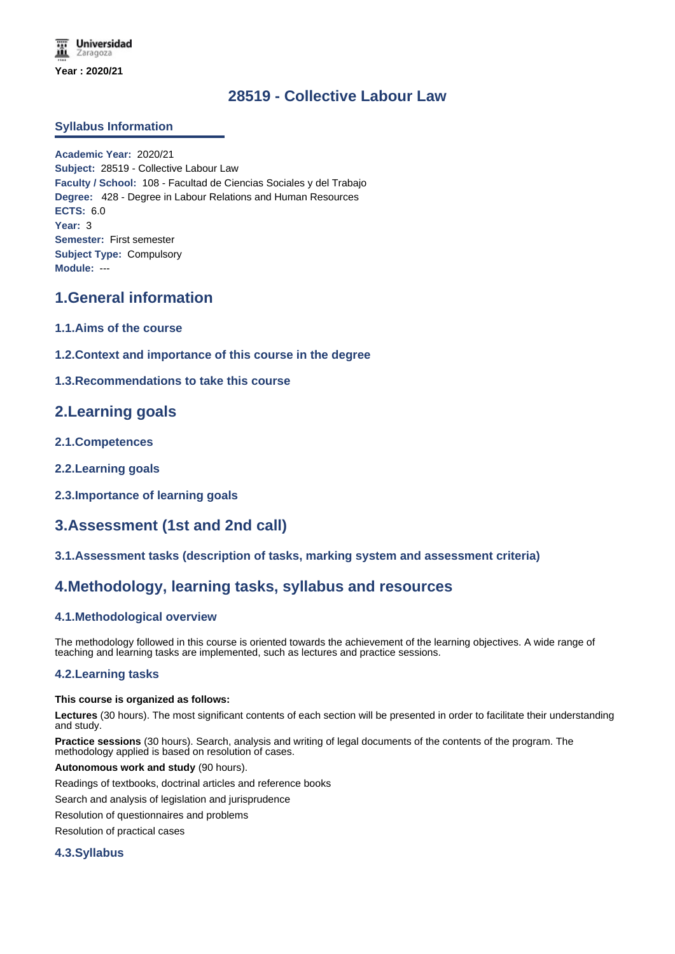# **28519 - Collective Labour Law**

## **Syllabus Information**

**Academic Year:** 2020/21 **Subject:** 28519 - Collective Labour Law **Faculty / School:** 108 - Facultad de Ciencias Sociales y del Trabajo **Degree:** 428 - Degree in Labour Relations and Human Resources **ECTS:** 6.0 **Year:** 3 **Semester:** First semester **Subject Type:** Compulsory **Module:** ---

# **1.General information**

- **1.1.Aims of the course**
- **1.2.Context and importance of this course in the degree**

## **1.3.Recommendations to take this course**

## **2.Learning goals**

- **2.1.Competences**
- **2.2.Learning goals**
- **2.3.Importance of learning goals**

## **3.Assessment (1st and 2nd call)**

## **3.1.Assessment tasks (description of tasks, marking system and assessment criteria)**

## **4.Methodology, learning tasks, syllabus and resources**

## **4.1.Methodological overview**

The methodology followed in this course is oriented towards the achievement of the learning objectives. A wide range of teaching and learning tasks are implemented, such as lectures and practice sessions.

### **4.2.Learning tasks**

#### **This course is organized as follows:**

**Lectures** (30 hours). The most significant contents of each section will be presented in order to facilitate their understanding and study.

**Practice sessions** (30 hours). Search, analysis and writing of legal documents of the contents of the program. The methodology applied is based on resolution of cases.

#### **Autonomous work and study** (90 hours).

Readings of textbooks, doctrinal articles and reference books

Search and analysis of legislation and jurisprudence

Resolution of questionnaires and problems

Resolution of practical cases

### **4.3.Syllabus**